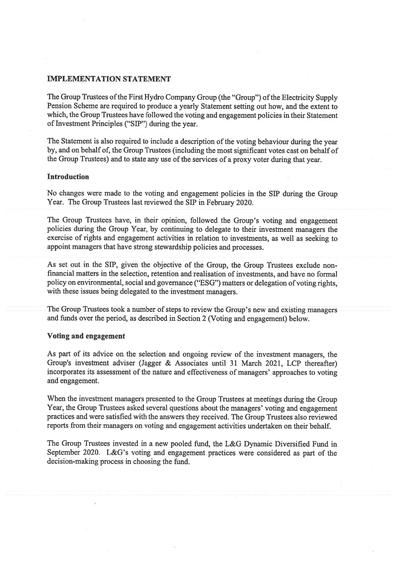## **IMPLEMENTATION STATEMENT**

The Group Trustees of the First Hydro Company Group (the "Group") of the Electricity Supply Pension Scheme are required to produce a yearly Statement setting out how, and the extent to which, the Group Trustees have followed the voting and engagement policies in their Statement of Investment Principles ("SIP") during the year.

The Statement is also required to include a description of the voting behaviour during the year by, and on behalf of, the Group Trustees (including the most significant votes cast on behalf of the Group Trustees) and to state any use of the services of a proxy voter during that year.

## Introduction

No changes were made to the voting and engagement policies in the SIP during the Group Year. The Group Trustees last reviewed the SIP in February 2020.

The Group Trustees have, in their opinion, followed the Group's voting and engagement policies during the Group Year, by continuing to delegate to their investment managers the exercise of rights and engagement activities in relation to investments, as well as seeking to appoint managers that have strong stewardship policies and processes.

As set out in the SIP, given the objective of the Group, the Group Trustees exclude nonfinancial matters in the selection, retention and realisation of investments, and have no formal policy on environmental, social and governance ("ESG") matters or delegation of voting rights, with these issues being delegated to the investment managers.

The Group Trustees took a number of steps to review the Group's new and existing managers and funds over the period, as described in Section 2 (Voting and engagement) below.

### Voting and engagement

As part of its advice on the selection and ongoing review of the investment managers, the Group's investment adviser (Jagger & Associates until 31 March 2021, LCP thereafter) incorporates its assessment of the nature and effectiveness of managers' approaches to voting and engagement.

When the investment managers presented to the Group Trustees at meetings during the Group Year, the Group Trustees asked several questions about the managers' voting and engagement practices and were satisfied with the answers they received. The Group Trustees also reviewed reports from their managers on voting and engagement activities undertaken on their behalf.

The Group Trustees invested in a new pooled fund, the L&G Dynamic Diversified Fund in September 2020. L&G's voting and engagement practices were considered as part of the decision-making process in choosing the fund.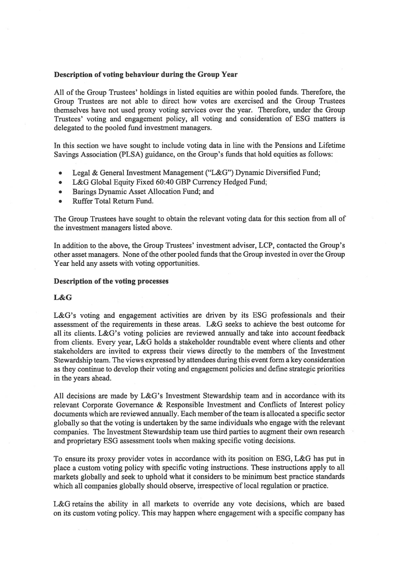## Description of voting behaviour during the Group Year

All of the Group Trustees' holdings in listed equities are within pooled funds. Therefore, the Group Trustees are not able to direct how votes are exercised and the Group Trustees themselves have not used proxy voting services over the year. Therefore, under the Group Trustees' voting and engagement policy, all voting and consideration of ESG matters is delegated to the pooled fund investment managers.

In this section we have sought to include voting data in line with the Pensions and Lifetime Savings Association (PLSA) guidance, on the Group's funds that hold equities as follows:

- Legal & General Investment Management ("L&G") Dynamic Diversified Fund;
- L&G Global Equity Fixed 60:40 GBP Currency Hedged Fund;
- Barings Dynamic Asset Allocation Fund; and
- Ruffer Total Return Fund.

The Group Trustees have sought to obtain the relevant voting data for this section from all of the investment managers listed above.

In addition to the above, the Group Trustees' investment adviser, LCP, contacted the Group's other asset managers. None of the other pooled funds that the Group invested in over the Group Year held any assets with voting opportunities.

## Description of the voting processes

## L&G

L&G's voting and engagement activities are driven by its ESG professionals and their assessment of the requirements in these areas. L&G seeks to achieve the best outcome for all its clients. L&G's voting policies are reviewed annually and take into account feedback from clients. Every year, L&G holds a stakeholder roundtable event where clients and other stakeholders are invited to express their views directly to the members of the Investment Stewardship team. The views expressed by attendees during this event form a key consideration as they continue to develop their voting and engagement policies and define strategic priorities in the years ahead.

All decisions are made by L&G's Investment Stewardship team and in accordance with its relevant Corporate Governance & Responsible Investment and Conflicts of Interest policy documents which are reviewed annually. Each member of the team is allocated a specific sector globally so that the voting is undertaken by the same individuals who engage with the relevant companies. The Investment Stewardship team use third parties to augment their own research and proprietary ESG assessment tools when making specific voting decisions.

To ensure its proxy provider votes in accordance with its position on ESG, L&G has put in place a custom voting policy with specific voting instructions. These instructions apply to all markets globally and seek to uphold what it considers to be minimum best practice standards which all companies globally should observe, irrespective of local regulation or practice.

L&G retains the ability in all markets to override any vote decisions, which are based on its custom voting policy. This may happen where engagement with a specific company has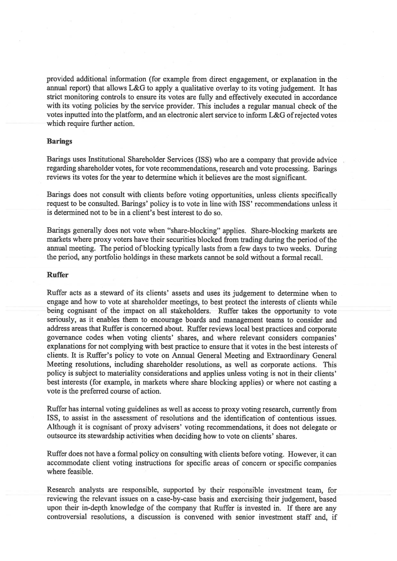provided additional information (for example from direct engagement, or explanation in the annual report) that allows L&G to apply a qualitative overlay to its voting judgement. It has strict monitoring controls to ensure its votes are fully and effectively executed in accordance with its voting policies by the service provider. This includes a regular manual check of the votes inputted into the platform, and an electronic alert service to inform L&G ofrejected votes which require further action.

## Barings

Barings uses Institutional Shareholder Services (ISS) who are a company that provide advice regarding shareholder votes, for vote recommendations, research and vote processing. Barings reviews its votes for the year to determine which it believes are the most significant.

Batings does not consult with clients before voting opportunities, unless clients specifically request to be consulted. Barings' policy is to vote in line with ISS' recommendations unless it is determined not to be in a client's best interest to do so.

Batings generally does not vote when "share-blocking" applies. Share-blocking markets are markets where proxy voters have their securities blocked from trading during the period of the annual meeting. The period of blocking typically lasts from a few days to two weeks. During the period, any portfolio holdings in these markets cannot be sold without a formal recall.

## Ruffer

Ruffer acts as a steward of its clients' assets and uses its judgement to determine when to engage and how to vote at shareholder meetings, to best protect the interests of clients while being cognisant of the impact on all stakeholders. Ruffer takes the opportunity to vote seriously, as it enables them to encourage boards and management teams to consider and address areas that Ruffer is concerned about. Ruffer reviews local best practices and corporate governance codes when voting clients' shares, and where relevant considers companies' explanations for not complying with best practice to ensure that it votes in the best interests of clients. It is Ruffer's policy to vote on Annual General Meeting and Extraordinary General Meeting resolutions, including shareholder resolutions, as well as corporate actions. This policy is subject to materiality considerations and applies unless voting is not in their clients' best interests (for example, in markets where share blocking applies) or where not casting a vote is the preferred course of action.

Ruffer has internal voting guidelines as well as access to proxy voting research, currently from ISS, to assist in the assessment of resolutions and the identification of contentious issues. Although it is cognisant of proxy advisers' voting recommendations, it does not delegate or outsource its stewardship activities when deciding how to vote on clients' shares.

Ruffer does not have a formal policy on consulting with clients before voting. However, it can accommodate client voting instructions for specific areas of concern or specific companies where feasible.

Research analysts are responsible, supported by their responsible investment team, for reviewing the relevant issues on a case-by-case basis and exercising their judgement, based upon their in-depth knowledge of the company that Ruffer is invested in. If there are any controversial resolutions, a discussion is convened with senior investment staff and, if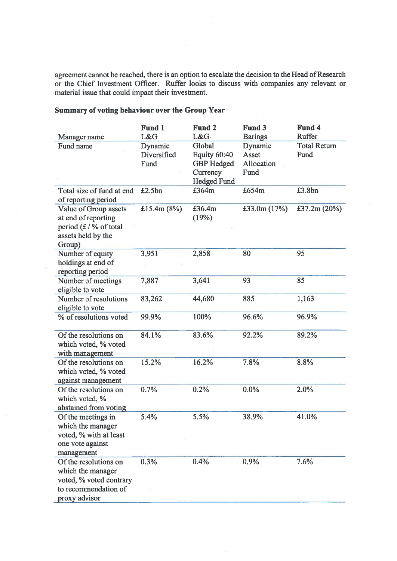agreement cannot be reached, there is an option to escalate the decision to the Head of Research or the Chief Investment Officer. Ruffer looks to discuss with companies any relevant or material issue that could impact their investment.

#### Manager name Fund name Fund <sup>1</sup> L&G Dynamic Diversified Fund Fund 2 L&G Global Equity 60:40 GBP Hedged **Currency** Hedged Fund £3 64m Fund 3 **Barings** Dynamic Asset Allocation Fund Fund 4 Ruffer Total Return Fund Total size of fund at end £2.5bn  $£364m$   $£654m$   $£3.8bn$ of reporting period Value of Group assets £15.4m (8%) £36.4m £33.Om (17%) £37.2m (20%) at end of reporting (19%) period  $(E / \%$  of total assets held by the Group) Number of equity 3,951 2,858 80 95 holdings at end of reporting period Number of meetings 7,887 3,641 93 85 eligible to vote Number of resolutions 83,262 44,680 885 1,163 eligible to vote % of resolutions voted 99.9% 100% 96.6% 96.9% Of the resolutions on 84.1% 83.6% 92.2% 89.2% which voted, % voted with management Of the resolutions on 15.2% 16.2% 7.8% 8.8% which voted, % voted against management Of the resolutions on  $0.7\%$  0.2% 0.0% 2.0% which voted, % abstained from voting Of the meetings in  $5.4\%$   $5.5\%$   $38.9\%$   $41.0\%$ which the manager voted, % with at least one vote against management Of the resolutions on  $0.3\%$  0.4% 0.9% 7.6% which the manager voted, % voted contrary to recommendation of proxy advisor

## Summary of voting behaviour over the Group Year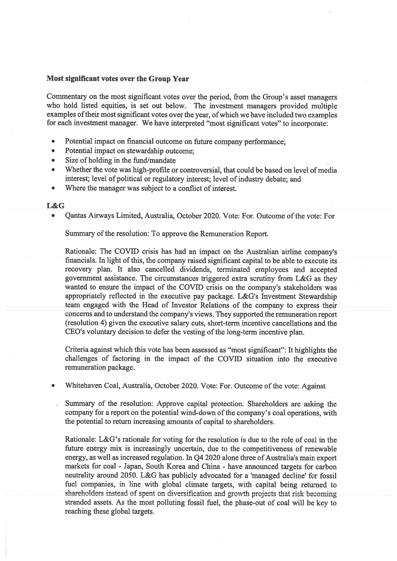# Most significant votes over the Group Year

Commentary on the most significant votes over the period, from the Group's asset managers who hold listed equities, is set out below. The investment managers provided multiple examples of their most significant votes over the year, of which we have included two examples for each investment manager. We have interpreted "most significant votes" to incorporate:

- Potential impact on financial outcome on future company performance;
- Potential impact on stewardship outcome;
- Size of holding in the fund/mandate
- Whether the vote was high-profile or controversial, that could be based on level of media interest; level of political or regulatory interest; level of industry debate; and
- Where the manager was subject to a conflict of interest.

#### L&G

Qantas Airways Limited, Australia, October 2020. Vote: For. Outcome of the vote: For

Summary of the resolution: To approve the Remuneration Report.

Rationale: The COVID crisis has had an impact on the Australian airline company's financials. In light of this, the company raised significant capital to be able to execute its recovery plan. It also cancelled dividends, terminated employees and accepted government assistance. The circumstances triggered extra scrutiny from L&G as they wanted to ensure the impact of the COVID crisis on the company's stakeholders was appropriately reflected in the executive pay package. L&G's Investment Stewardship team engaged with the Head of Investor Relations of the company to express their concerns and to understand the company's views. They supported the remuneration report (resolution 4) given the executive salary cuts, short-term incentive cancellations and the CEO's voluntary decision to defer the vesting of the long-term incentive plan.

Criteria against which this vote has been assessed as "most significant": It highlights the challenges of factoring in the impact of the COVID situation into the executive remuneration package.

Whitehaven Coal, Australia, October 2020. Vote: For. Outcome of the vote: Against

Summary of the resolution: Approve capital protection. Shareholders are asking the company for a report on the potential wind-down of the company's coal operations, with the potential to return increasing amounts of capital to shareholders.

Rationale: L&G's rationale for voting for the resolution is due to the role of coal in the future energy mix is increasingly uncertain, due to the competitiveness of renewable energy, as well as increased regulation. In Q4 2020 alone three of Australia's main export markets for coal -Japan, South Korea and China - have announced targets for carbon neutrality around 2050. L&G has publicly advocated for a 'managed decline' for fossil fuel companies, in line with global climate targets, with capital being returned to shareholders instead of spent on diversification and growth projects that risk becoming stranded assets. As the most polluting fossil fuel, the phase-out of coal will be key to reaching these global targets.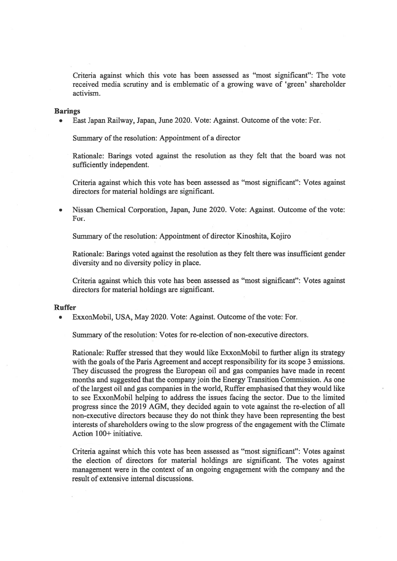Criteria against which this vote has been assessed as "most significant": The vote received media scrutiny and is emblematic of a growing wave of 'green' shareholder activism.

### Barings

• East Japan Railway, Japan, June 2020. Vote: Against. Outcome of the vote: For.

Summary of the resolution: Appointment of a director

Rationale: Barings voted against the resolution as they felt that the board was not sufficiently independent.

Criteria against which this vote has been assessed as "most significant": Votes against directors for material holdings are significant.

• Nissan Chemical Corporation, Japan, June 2020. Vote: Against. Outcome of the vote: For.

Summary of the resolution: Appointment of director Kinoshita, Kojiro

Rationale: Barings voted against the resolution as they felt there was insufficient gender diversity and no diversity policy in place.

Criteria against which this vote has been assessed as "most significant": Votes against directors for material holdings are significant.

#### Ruffer

• ExxonMobil, USA, May 2020. Vote: Against. Outcome of the vote: For.

Summary of the resolution: Votes for re-election of non-executive directors.

Rationale: Ruffer stressed that they would like ExxonMobil to further align its strategy with the goals of the Paris Agreement and accept responsibility for its scope 3 emissions. They discussed the progress the European oil and gas companies have made in recent months and suggested that the company join the Energy Transition Commission. As one of the largest oil and gas companies in the world, Ruffer emphasised that they would like to see ExxonMobil helping to address the issues facing the sector. Due to the limited progress since the 2019 AGM, they decided again to vote against the re-election of all non-executive directors because they do not think they have been representing the best interests of shareholders owing to the slow progress of the engagement with the Climate Action 100+ initiative.

Criteria against which this vote has been assessed as "most significant": Votes against the election of directors for material holdings are significant. The votes against management were in the context of an ongoing engagement with the company and the result of extensive internal discussions.